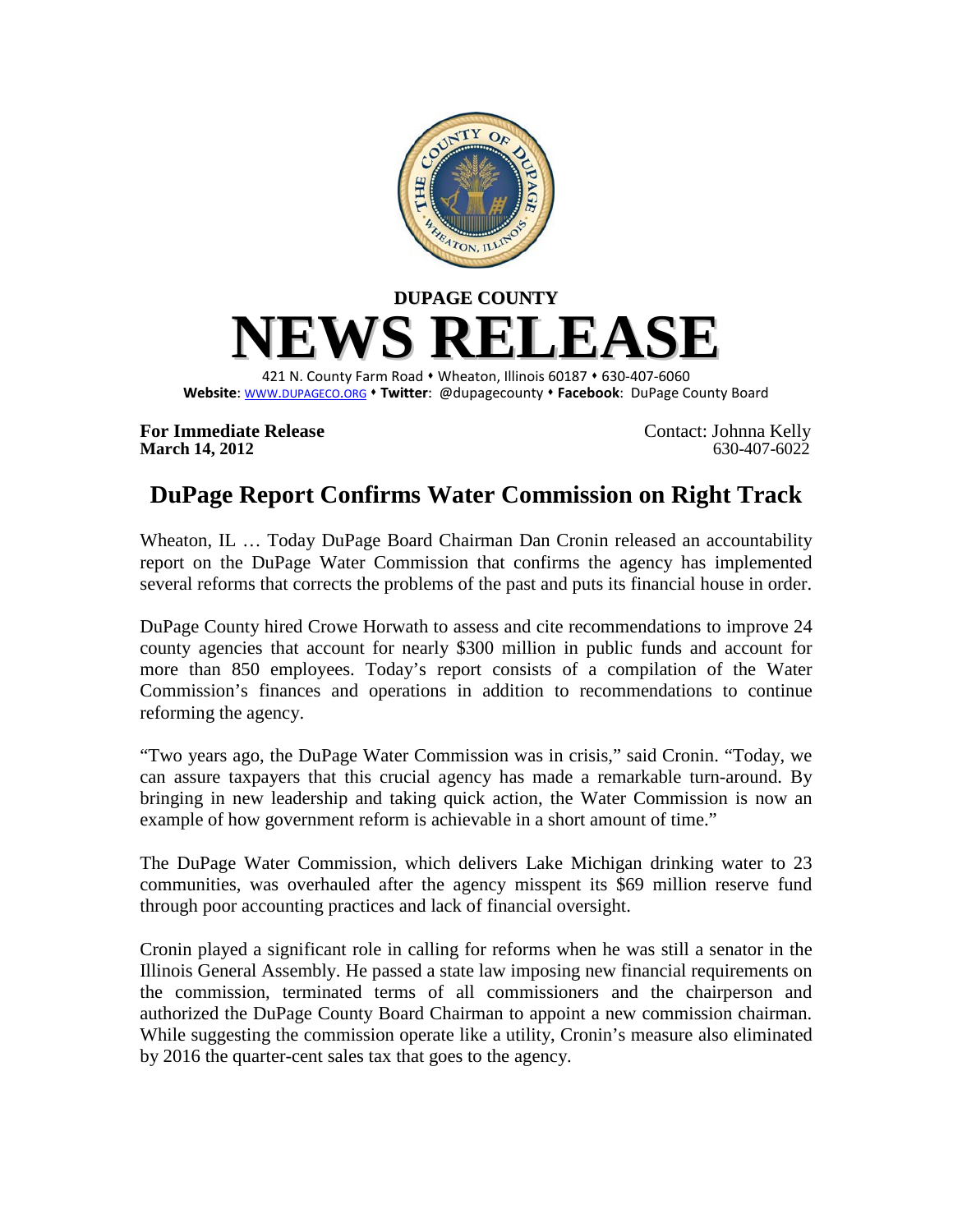

**For Immediate Release** Contact: Johnna Kelly<br>
March 14, 2012 630-407-6022 **March 14, 2012** 

## **DuPage Report Confirms Water Commission on Right Track**

Wheaton, IL … Today DuPage Board Chairman Dan Cronin released an accountability report on the DuPage Water Commission that confirms the agency has implemented several reforms that corrects the problems of the past and puts its financial house in order.

DuPage County hired Crowe Horwath to assess and cite recommendations to improve 24 county agencies that account for nearly \$300 million in public funds and account for more than 850 employees. Today's report consists of a compilation of the Water Commission's finances and operations in addition to recommendations to continue reforming the agency.

"Two years ago, the DuPage Water Commission was in crisis," said Cronin. "Today, we can assure taxpayers that this crucial agency has made a remarkable turn-around. By bringing in new leadership and taking quick action, the Water Commission is now an example of how government reform is achievable in a short amount of time."

The DuPage Water Commission, which delivers Lake Michigan drinking water to 23 communities, was overhauled after the agency misspent its \$69 million reserve fund through poor accounting practices and lack of financial oversight.

Cronin played a significant role in calling for reforms when he was still a senator in the Illinois General Assembly. He passed a state law imposing new financial requirements on the commission, terminated terms of all commissioners and the chairperson and authorized the DuPage County Board Chairman to appoint a new commission chairman. While suggesting the commission operate like a utility, Cronin's measure also eliminated by 2016 the quarter-cent sales tax that goes to the agency.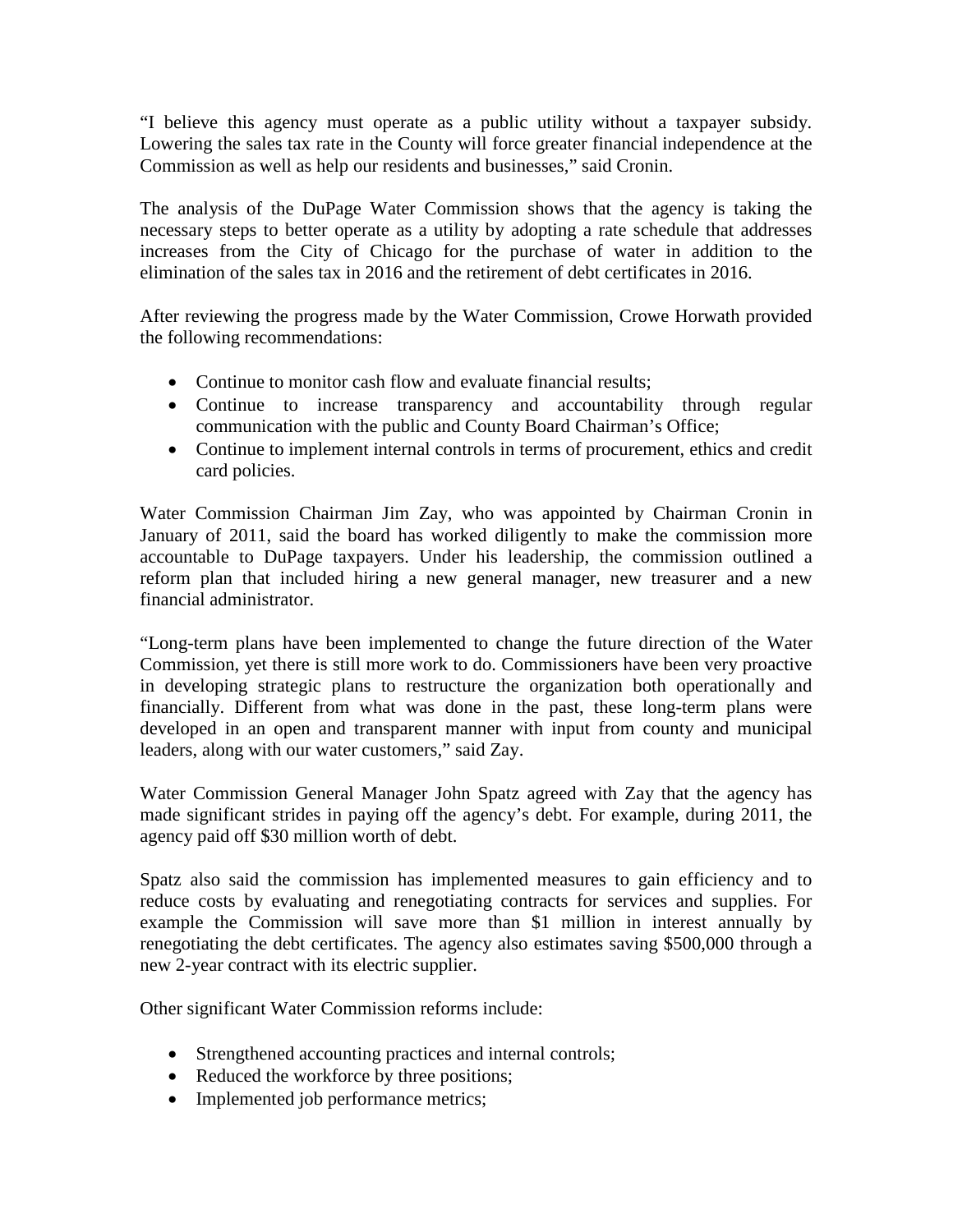"I believe this agency must operate as a public utility without a taxpayer subsidy. Lowering the sales tax rate in the County will force greater financial independence at the Commission as well as help our residents and businesses," said Cronin.

The analysis of the DuPage Water Commission shows that the agency is taking the necessary steps to better operate as a utility by adopting a rate schedule that addresses increases from the City of Chicago for the purchase of water in addition to the elimination of the sales tax in 2016 and the retirement of debt certificates in 2016.

After reviewing the progress made by the Water Commission, Crowe Horwath provided the following recommendations:

- Continue to monitor cash flow and evaluate financial results;
- Continue to increase transparency and accountability through regular communication with the public and County Board Chairman's Office;
- Continue to implement internal controls in terms of procurement, ethics and credit card policies.

Water Commission Chairman Jim Zay, who was appointed by Chairman Cronin in January of 2011, said the board has worked diligently to make the commission more accountable to DuPage taxpayers. Under his leadership, the commission outlined a reform plan that included hiring a new general manager, new treasurer and a new financial administrator.

"Long-term plans have been implemented to change the future direction of the Water Commission, yet there is still more work to do. Commissioners have been very proactive in developing strategic plans to restructure the organization both operationally and financially. Different from what was done in the past, these long-term plans were developed in an open and transparent manner with input from county and municipal leaders, along with our water customers," said Zay.

Water Commission General Manager John Spatz agreed with Zay that the agency has made significant strides in paying off the agency's debt. For example, during 2011, the agency paid off \$30 million worth of debt.

Spatz also said the commission has implemented measures to gain efficiency and to reduce costs by evaluating and renegotiating contracts for services and supplies. For example the Commission will save more than \$1 million in interest annually by renegotiating the debt certificates. The agency also estimates saving \$500,000 through a new 2-year contract with its electric supplier.

Other significant Water Commission reforms include:

- Strengthened accounting practices and internal controls;
- Reduced the workforce by three positions;
- Implemented job performance metrics;